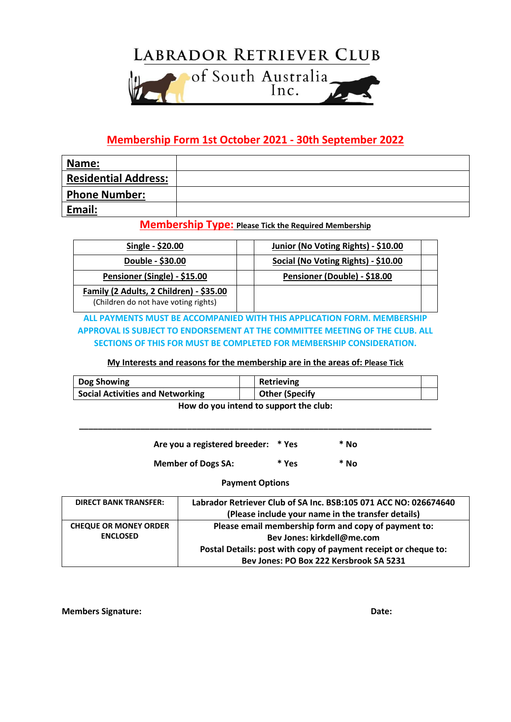

## **Membership Form 1st October 2021 - 30th September 2022**

| Name:                       |  |
|-----------------------------|--|
| <b>Residential Address:</b> |  |
| <b>Phone Number:</b>        |  |
| Email:                      |  |

### **Membership Type: Please Tick the Required Membership**

| Single - \$20.00                        | Junior (No Voting Rights) - \$10.00 |
|-----------------------------------------|-------------------------------------|
| Double - \$30.00                        | Social (No Voting Rights) - \$10.00 |
| Pensioner (Single) - \$15.00            | Pensioner (Double) - \$18.00        |
| Family (2 Adults, 2 Children) - \$35.00 |                                     |
| (Children do not have voting rights)    |                                     |

**ALL PAYMENTS MUST BE ACCOMPANIED WITH THIS APPLICATION FORM. MEMBERSHIP APPROVAL IS SUBJECT TO ENDORSEMENT AT THE COMMITTEE MEETING OF THE CLUB. ALL SECTIONS OF THIS FOR MUST BE COMPLETED FOR MEMBERSHIP CONSIDERATION.**

#### **My Interests and reasons for the membership are in the areas of: Please Tick**

| Dog Showing                             |  | <b>Retrieving</b>     |  |
|-----------------------------------------|--|-----------------------|--|
| <b>Social Activities and Networking</b> |  | <b>Other (Specify</b> |  |
| How do you intond to cunnort the club.  |  |                       |  |

**How do you intend to support the club:**

| Are you a registered breeder: * Yes |       | * No |
|-------------------------------------|-------|------|
| <b>Member of Dogs SA:</b>           | * Yes | * No |

**\_\_\_\_\_\_\_\_\_\_\_\_\_\_\_\_\_\_\_\_\_\_\_\_\_\_\_\_\_\_\_\_\_\_\_\_\_\_\_\_\_\_\_\_\_\_\_\_\_\_\_\_\_\_\_\_\_\_\_\_\_\_\_\_\_\_\_\_\_\_\_\_\_\_\_**

#### **Payment Options**

| <b>DIRECT BANK TRANSFER:</b> | Labrador Retriever Club of SA Inc. BSB:105 071 ACC NO: 026674640 |
|------------------------------|------------------------------------------------------------------|
|                              | (Please include your name in the transfer details)               |
| <b>CHEQUE OR MONEY ORDER</b> | Please email membership form and copy of payment to:             |
| <b>ENCLOSED</b>              | Bev Jones: kirkdell@me.com                                       |
|                              | Postal Details: post with copy of payment receipt or cheque to:  |
|                              | Bev Jones: PO Box 222 Kersbrook SA 5231                          |

**Members Signature:**  $\qquad \qquad$  **Date:**  $\qquad \qquad$  **Date:**  $\qquad \qquad$